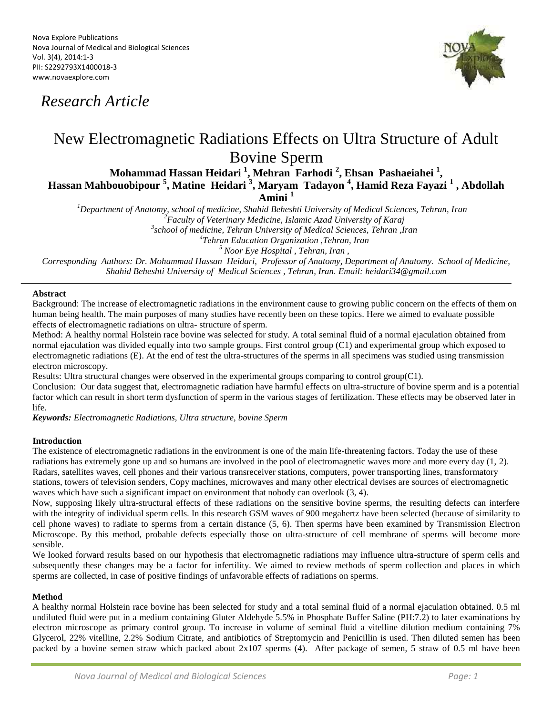## *Research Article*



# New Electromagnetic Radiations Effects on Ultra Structure of Adult Bovine Sperm

**Mohammad Hassan Heidari <sup>1</sup> , Mehran Farhodi <sup>2</sup> , Ehsan Pashaeiahei <sup>1</sup> , Hassan Mahbouobipour <sup>5</sup> , Matine Heidari <sup>3</sup> , Maryam Tadayon <sup>4</sup> , Hamid Reza Fayazi <sup>1</sup> , Abdollah Amini <sup>1</sup>**

*<sup>1</sup>Department of Anatomy, school of medicine, Shahid Beheshti University of Medical Sciences, Tehran, Iran <sup>2</sup>Faculty of Veterinary Medicine, Islamic Azad University of Karaj <sup>3</sup>school of medicine, Tehran University of Medical Sciences, Tehran ,Iran*

*<sup>4</sup>Tehran Education Organization ,Tehran, Iran*

*<sup>5</sup> Noor Eye Hospital , Tehran, Iran ,*

*Corresponding Authors: Dr. Mohammad Hassan Heidari, Professor of Anatomy, Department of Anatomy. School of Medicine, Shahid Beheshti University of Medical Sciences , Tehran, Iran. Email: heidari34@gmail.com*

### **Abstract**

Background: The increase of electromagnetic radiations in the environment cause to growing public concern on the effects of them on human being health. The main purposes of many studies have recently been on these topics. Here we aimed to evaluate possible effects of electromagnetic radiations on ultra- structure of sperm.

Method: A healthy normal Holstein race bovine was selected for study. A total seminal fluid of a normal ejaculation obtained from normal ejaculation was divided equally into two sample groups. First control group (C1) and experimental group which exposed to electromagnetic radiations (E). At the end of test the ultra-structures of the sperms in all specimens was studied using transmission electron microscopy.

Results: Ultra structural changes were observed in the experimental groups comparing to control group(C1).

Conclusion: Our data suggest that, electromagnetic radiation have harmful effects on ultra-structure of bovine sperm and is a potential factor which can result in short term dysfunction of sperm in the various stages of fertilization. These effects may be observed later in life.

*Keywords: Electromagnetic Radiations, Ultra structure, bovine Sperm*

#### **Introduction**

The existence of electromagnetic radiations in the environment is one of the main life-threatening factors. Today the use of these radiations has extremely gone up and so humans are involved in the pool of electromagnetic waves more and more every day (1, 2). Radars, satellites waves, cell phones and their various transreceiver stations, computers, power transporting lines, transformatory stations, towers of television senders, Copy machines, microwaves and many other electrical devises are sources of electromagnetic waves which have such a significant impact on environment that nobody can overlook  $(3, 4)$ .

Now, supposing likely ultra-structural effects of these radiations on the sensitive bovine sperms, the resulting defects can interfere with the integrity of individual sperm cells. In this research GSM waves of 900 megahertz have been selected (because of similarity to cell phone waves) to radiate to sperms from a certain distance (5, 6). Then sperms have been examined by Transmission Electron Microscope. By this method, probable defects especially those on ultra-structure of cell membrane of sperms will become more sensible.

We looked forward results based on our hypothesis that electromagnetic radiations may influence ultra-structure of sperm cells and subsequently these changes may be a factor for infertility. We aimed to review methods of sperm collection and places in which sperms are collected, in case of positive findings of unfavorable effects of radiations on sperms.

#### **Method**

A healthy normal Holstein race bovine has been selected for study and a total seminal fluid of a normal ejaculation obtained. 0.5 ml undiluted fluid were put in a medium containing Gluter Aldehyde 5.5% in Phosphate Buffer Saline (PH:7.2) to later examinations by electron microscope as primary control group. To increase in volume of seminal fluid a vitelline dilution medium containing 7% Glycerol, 22% vitelline, 2.2% Sodium Citrate, and antibiotics of Streptomycin and Penicillin is used. Then diluted semen has been packed by a bovine semen straw which packed about 2x107 sperms (4). After package of semen, 5 straw of 0.5 ml have been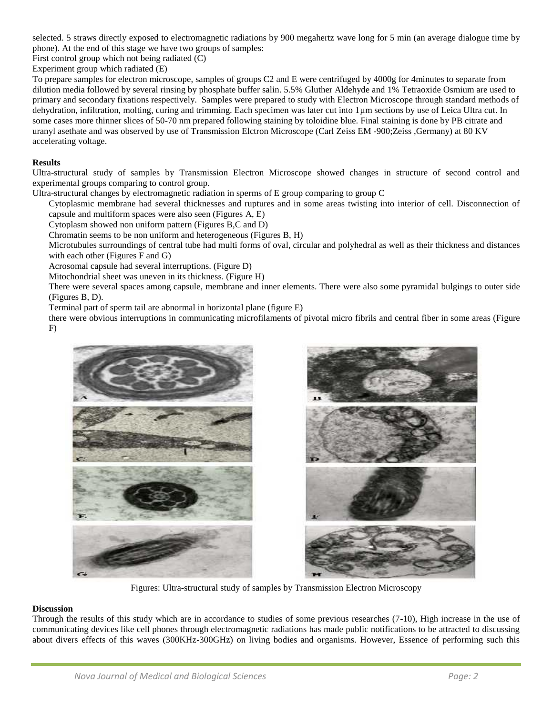selected. 5 straws directly exposed to electromagnetic radiations by 900 megahertz wave long for 5 min (an average dialogue time by phone). At the end of this stage we have two groups of samples:

First control group which not being radiated (C)

Experiment group which radiated (E)

To prepare samples for electron microscope, samples of groups C2 and E were centrifuged by 4000g for 4minutes to separate from dilution media followed by several rinsing by phosphate buffer salin. 5.5% Gluther Aldehyde and 1% Tetraoxide Osmium are used to primary and secondary fixations respectively. Samples were prepared to study with Electron Microscope through standard methods of dehydration, infiltration, molting, curing and trimming. Each specimen was later cut into 1µm sections by use of Leica Ultra cut. In some cases more thinner slices of 50-70 nm prepared following staining by toloidine blue. Final staining is done by PB citrate and uranyl asethate and was observed by use of Transmission Elctron Microscope (Carl Zeiss EM -900;Zeiss ,Germany) at 80 KV accelerating voltage.

#### **Results**

Ultra-structural study of samples by Transmission Electron Microscope showed changes in structure of second control and experimental groups comparing to control group.

Ultra-structural changes by electromagnetic radiation in sperms of E group comparing to group C

Cytoplasmic membrane had several thicknesses and ruptures and in some areas twisting into interior of cell. Disconnection of capsule and multiform spaces were also seen (Figures A, E)

Cytoplasm showed non uniform pattern (Figures B,C and D)

Chromatin seems to be non uniform and heterogeneous (Figures B, H)

Microtubules surroundings of central tube had multi forms of oval, circular and polyhedral as well as their thickness and distances with each other (Figures F and G)

Acrosomal capsule had several interruptions. (Figure D)

Mitochondrial sheet was uneven in its thickness. (Figure H)

There were several spaces among capsule, membrane and inner elements. There were also some pyramidal bulgings to outer side (Figures B, D).

Terminal part of sperm tail are abnormal in horizontal plane (figure E)

there were obvious interruptions in communicating microfilaments of pivotal micro fibrils and central fiber in some areas (Figure F)





Figures: Ultra-structural study of samples by Transmission Electron Microscopy

#### **Discussion**

Through the results of this study which are in accordance to studies of some previous researches (7-10), High increase in the use of communicating devices like cell phones through electromagnetic radiations has made public notifications to be attracted to discussing about divers effects of this waves (300KHz-300GHz) on living bodies and organisms. However, Essence of performing such this